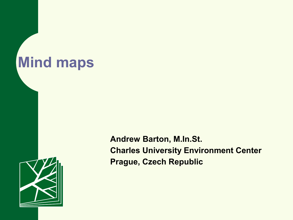



**Andrew Barton, M.In.St. Charles University Environment Center Prague, Czech Republic**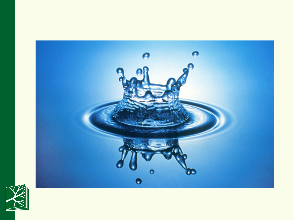

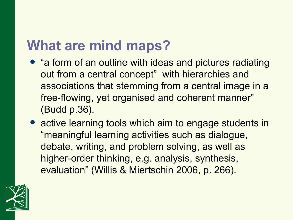## **What are mind maps?**

- "a form of an outline with ideas and pictures radiating out from a central concept" with hierarchies and associations that stemming from a central image in a free-flowing, yet organised and coherent manner" (Budd p.36).
- active learning tools which aim to engage students in "meaningful learning activities such as dialogue, debate, writing, and problem solving, as well as higher-order thinking, e.g. analysis, synthesis, evaluation" (Willis & Miertschin 2006, p. 266).

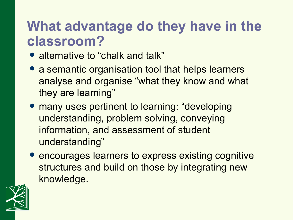## **What advantage do they have in the classroom?**

- alternative to "chalk and talk"
- a semantic organisation tool that helps learners analyse and organise "what they know and what they are learning"
- many uses pertinent to learning: "developing" understanding, problem solving, conveying information, and assessment of student understanding"
- encourages learners to express existing cognitive structures and build on those by integrating new knowledge.

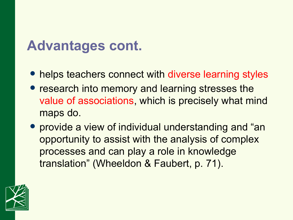## **Advantages cont.**

- helps teachers connect with diverse learning styles
- research into memory and learning stresses the value of associations, which is precisely what mind maps do.
- provide a view of individual understanding and "an opportunity to assist with the analysis of complex processes and can play a role in knowledge translation" (Wheeldon & Faubert, p. 71).

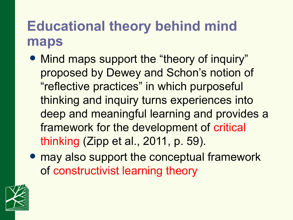## **Educational theory behind mind maps**

- Mind maps support the "theory of inquiry" proposed by Dewey and Schon's notion of "reflective practices" in which purposeful thinking and inquiry turns experiences into deep and meaningful learning and provides a framework for the development of critical thinking (Zipp et al., 2011, p. 59).
- may also support the conceptual framework of constructivist learning theory

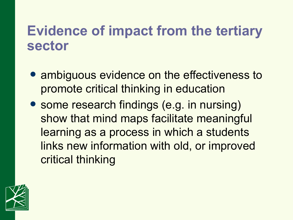## **Evidence of impact from the tertiary sector**

- ambiguous evidence on the effectiveness to promote critical thinking in education
- some research findings (e.g. in nursing) show that mind maps facilitate meaningful learning as a process in which a students links new information with old, or improved critical thinking

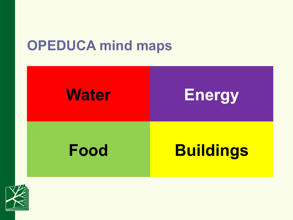## **OPEDUCA mind maps**



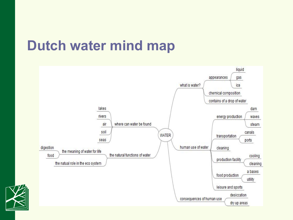## **Dutch water mind map**

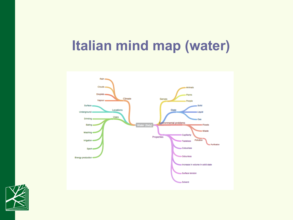## **Italian mind map (water)**



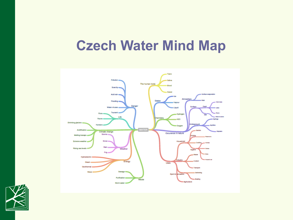# **Czech Water Mind Map**



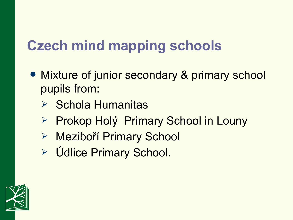# **Czech mind mapping schools**

- Mixture of junior secondary & primary school pupils from:
	- $\triangleright$  Schola Humanitas
	- ▶ Prokop Holý Primary School in Louny
	- **EXA: Meziboří Primary School**
	- **▶ Údlice Primary School.**

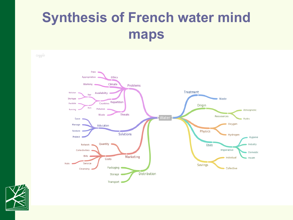# **Synthesis of French water mind maps**



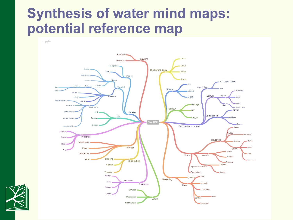## **Synthesis of water mind maps: potential reference map**



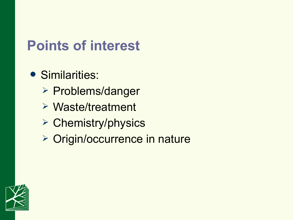## **Points of interest**

#### • Similarities:

- **▶ Problems/danger**
- Waste/treatment
- Chemistry/physics
- **Drigin/occurrence in nature**

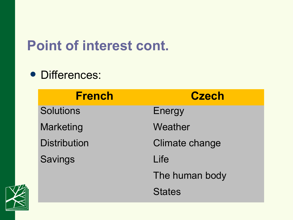# **Point of interest cont.**

#### • Differences:

#### **French Czech**

Solutions Energy

Marketing Weather

Savings Life

Distribution Climate change The human body

**States** 

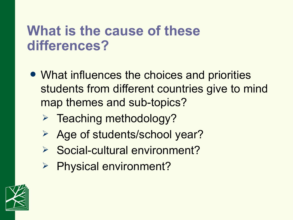### **What is the cause of these differences?**

- What influences the choices and priorities students from different countries give to mind map themes and sub-topics?
	- **▶ Teaching methodology?**
	- **► Age of students/school year?**
	- ▶ Social-cultural environment?
	- **▶ Physical environment?**

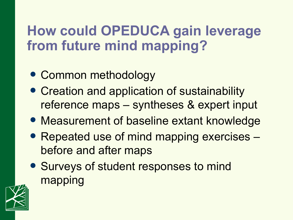## **How could OPEDUCA gain leverage from future mind mapping?**

- Common methodology
- Creation and application of sustainability reference maps – syntheses & expert input
- Measurement of baseline extant knowledge
- Repeated use of mind mapping exercises before and after maps
- Surveys of student responses to mind mapping